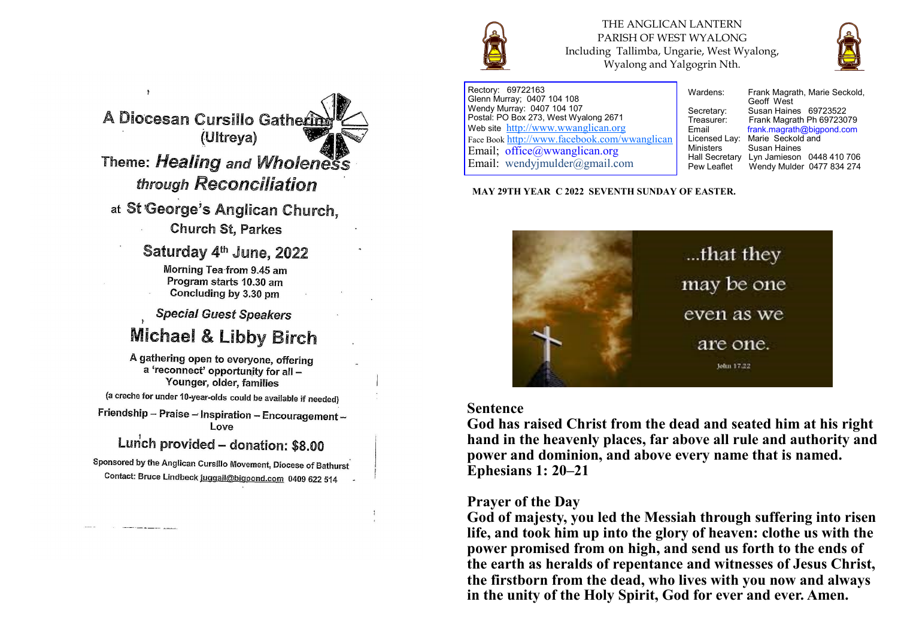

THE ANGLICAN LANTERN PARISH OF WEST WYALONG Including Tallimba, Ungarie, West Wyalong, Wyalong and Yalgogrin Nth.



Rectory: 69722163 Glenn Murray; 0407 104 108 Wendy Murray: 0407 104 107 Postal: PO Box 273, West Wyalong 2671 Web site <http://www.wwanglican.org> Face Book <http://www.facebook.com/wwanglican> Email; office@wwanglican.org Email: wendyjmulder@gmail.com

Wardens: Frank Magrath, Marie Seckold, Geoff West Secretary: Susan Haines 69723522<br>Treasurer: Frank Magrath Ph 697230 Frank Magrath Ph 69723079 Email frank.magrath@bigpond.com<br>Licensed Lav: Marie Seckold and Licensed Lay: Marie Seckold and<br>Ministers Susan Haines Susan Haines Hall Secretary Lyn Jamieson 0448 410 706<br>Pew Leaflet Wendy Mulder 0477 834 274 Wendy Mulder 0477 834 274

**MAY 29TH YEAR C 2022 SEVENTH SUNDAY OF EASTER.** 



#### **Sentence**

**God has raised Christ from the dead and seated him at his right hand in the heavenly places, far above all rule and authority and power and dominion, and above every name that is named. Ephesians 1: 20–21**

#### **Prayer of the Day**

**God of majesty, you led the Messiah through suffering into risen life, and took him up into the glory of heaven: clothe us with the power promised from on high, and send us forth to the ends of the earth as heralds of repentance and witnesses of Jesus Christ, the firstborn from the dead, who lives with you now and always in the unity of the Holy Spirit, God for ever and ever. Amen.**

A Diocesan Cursillo Gatherin (Ultreya) Theme: Healing and Wholeness through Reconciliation

at St George's Anglican Church.

**Church St. Parkes** 

Saturday 4th June, 2022

Morning Tea-from 9.45 am Program starts 10.30 am Concluding by 3.30 pm

**Special Guest Speakers** 

# **Michael & Libby Birch**

A gathering open to everyone, offering a 'reconnect' opportunity for all -Younger, older, families

(a creche for under 10-year-olds could be available if needed)

Friendship - Praise - Inspiration - Encouragement -Love

# Lunch provided - donation: \$8.00

Sponsored by the Anglican Cursillo Movement, Diocese of Bathurst Contact: Bruce Lindbeck juggail@bigpond.com 0409 622 514

**Contractor of the State State**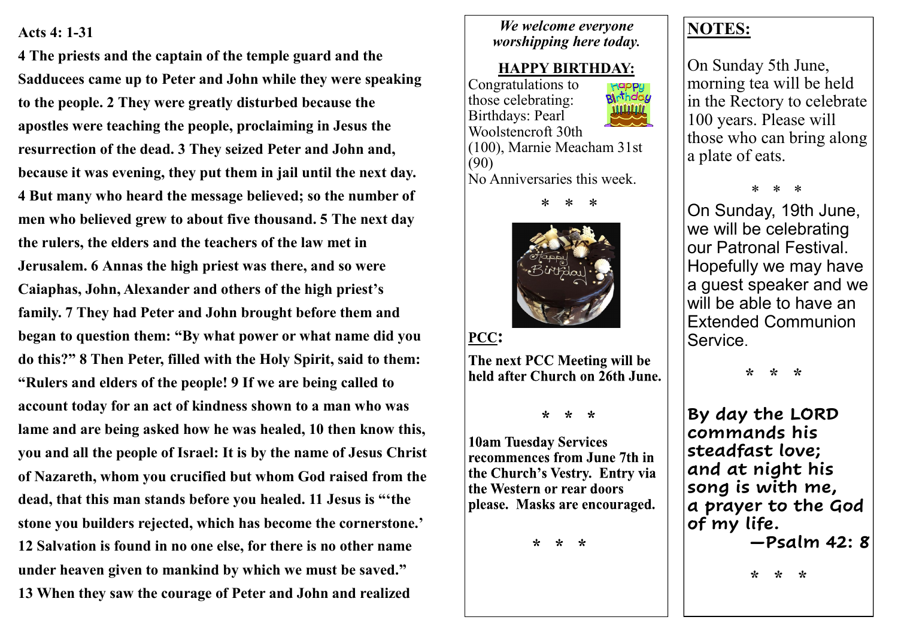### **Acts 4: 1-31**

**4 The priests and the captain of the temple guard and the Sadducees came up to Peter and John while they were speaking to the people. 2 They were greatly disturbed because the apostles were teaching the people, proclaiming in Jesus the resurrection of the dead. 3 They seized Peter and John and, because it was evening, they put them in jail until the next day. 4 But many who heard the message believed; so the number of men who believed grew to about five thousand. 5 The next day the rulers, the elders and the teachers of the law met in Jerusalem. 6 Annas the high priest was there, and so were Caiaphas, John, Alexander and others of the high priest's family. 7 They had Peter and John brought before them and began to question them: "By what power or what name did you do this?" 8 Then Peter, filled with the Holy Spirit, said to them: "Rulers and elders of the people! 9 If we are being called to account today for an act of kindness shown to a man who was lame and are being asked how he was healed, 10 then know this, you and all the people of Israel: It is by the name of Jesus Christ of Nazareth, whom you crucified but whom God raised from the dead, that this man stands before you healed. 11 Jesus is "'the stone you builders rejected, which has become the cornerstone.' 12 Salvation is found in no one else, for there is no other name under heaven given to mankind by which we must be saved." 13 When they saw the courage of Peter and John and realized** 

## *We welcome everyone worshipping here today.*

# **HAPPY BIRTHDAY:**

Congratulations to Happy<br>**Bl**ithday those celebrating: Birthdays: Pearl Woolstencroft 30th (100), Marnie Meacham 31st (90) No Anniversaries this week.



PCC:

The next PCC Meeting will be held after Church on 26th June.

 $* * *$ 

**10am Tuesday Services** recommences from June 7th in the Church's Vestry. Entry via the Western or rear doors please. Masks are encouraged.

> $\star$  $\star$ -\*

# **NOTES:**

On Sunday 5th June, morning tea will be held in the Rectory to celebrate 100 years. Please will those who can bring along a plate of eats.

\* \* \*

On Sunday, 19th June, we will be celebrating our Patronal Festival. Hopefully we may have a guest speaker and we will be able to have an Extended Communion Service.

 **\* \* \***

**By day the LORD commands his steadfast love; and at night his song is with me, a prayer to the God of my life. —Psalm 42: 8**

 **\* \* \***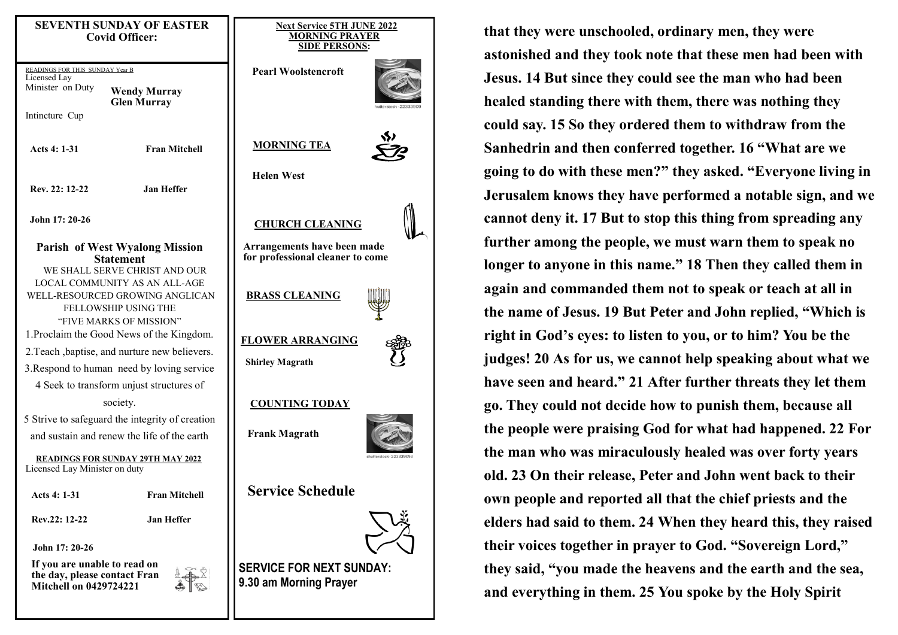| <b>SEVENTH SUNDAY OF EASTER</b><br><b>Covid Officer:</b>                                                                                                    |                                                                                            | <b>Next Service 5TH JUNE 2022</b><br><b>MORNING PRAYER</b><br><b>SIDE PERSONS:</b> |
|-------------------------------------------------------------------------------------------------------------------------------------------------------------|--------------------------------------------------------------------------------------------|------------------------------------------------------------------------------------|
| READINGS FOR THIS SUNDAY Year B<br>Licensed Lay<br>Minister on Duty<br>Intincture Cup                                                                       | <b>Wendy Murray</b><br><b>Glen Murray</b>                                                  | <b>Pearl Woolstencroft</b><br>hutterstock - 22                                     |
| Acts 4: 1-31                                                                                                                                                | <b>Fran Mitchell</b>                                                                       | <b>MORNING TEA</b>                                                                 |
| Rev. 22: 12-22                                                                                                                                              | <b>Jan Heffer</b>                                                                          | <b>Helen West</b>                                                                  |
| John 17: 20-26                                                                                                                                              |                                                                                            | <b>CHURCH CLEANING</b>                                                             |
| <b>Parish of West Wyalong Mission</b><br><b>Statement</b>                                                                                                   |                                                                                            | Arrangements have been made<br>for professional cleaner to come                    |
| WE SHALL SERVE CHRIST AND OUR<br><b>LOCAL COMMUNITY AS AN ALL-AGE</b><br>WELL-RESOURCED GROWING ANGLICAN<br>FELLOWSHIP USING THE<br>"FIVE MARKS OF MISSION" |                                                                                            | <b>BRASS CLEANING</b>                                                              |
|                                                                                                                                                             | 1. Proclaim the Good News of the Kingdom.<br>2. Teach, baptise, and nurture new believers. | <b>FLOWER ARRANGING</b><br><b>Shirley Magrath</b>                                  |
| 3. Respond to human need by loving service<br>4 Seek to transform unjust structures of                                                                      |                                                                                            |                                                                                    |
| society.                                                                                                                                                    |                                                                                            | <b>COUNTING TODAY</b>                                                              |
| 5 Strive to safeguard the integrity of creation<br>and sustain and renew the life of the earth                                                              |                                                                                            | <b>Frank Magrath</b>                                                               |
| <b>READINGS FOR SUNDAY 29TH MAY 2022</b><br>Licensed Lay Minister on duty                                                                                   |                                                                                            | hutterstock - 22333                                                                |
| Acts 4: 1-31                                                                                                                                                | <b>Fran Mitchell</b>                                                                       | <b>Service Schedule</b>                                                            |
| Rev.22: 12-22                                                                                                                                               | <b>Jan Heffer</b>                                                                          |                                                                                    |
| John 17: 20-26                                                                                                                                              |                                                                                            |                                                                                    |
| If you are unable to read on<br>the day, please contact Fran<br><b>Mitchell on 0429724221</b>                                                               |                                                                                            | <b>SERVICE FOR NEXT SUNDAY:</b><br>9.30 am Morning Prayer                          |
|                                                                                                                                                             |                                                                                            |                                                                                    |

**that they were unschooled, ordinary men, they were astonished and they took note that these men had been with Jesus. 14 But since they could see the man who had been healed standing there with them, there was nothing they could say. 15 So they ordered them to withdraw from the Sanhedrin and then conferred together. 16 "What are we going to do with these men?" they asked. "Everyone living in Jerusalem knows they have performed a notable sign, and we cannot deny it. 17 But to stop this thing from spreading any further among the people, we must warn them to speak no longer to anyone in this name." 18 Then they called them in again and commanded them not to speak or teach at all in the name of Jesus. 19 But Peter and John replied, "Which is right in God's eyes: to listen to you, or to him? You be the judges! 20 As for us, we cannot help speaking about what we have seen and heard." 21 After further threats they let them go. They could not decide how to punish them, because all the people were praising God for what had happened. 22 For the man who was miraculously healed was over forty years old. 23 On their release, Peter and John went back to their own people and reported all that the chief priests and the elders had said to them. 24 When they heard this, they raised their voices together in prayer to God. "Sovereign Lord," they said, "you made the heavens and the earth and the sea, and everything in them. 25 You spoke by the Holy Spirit**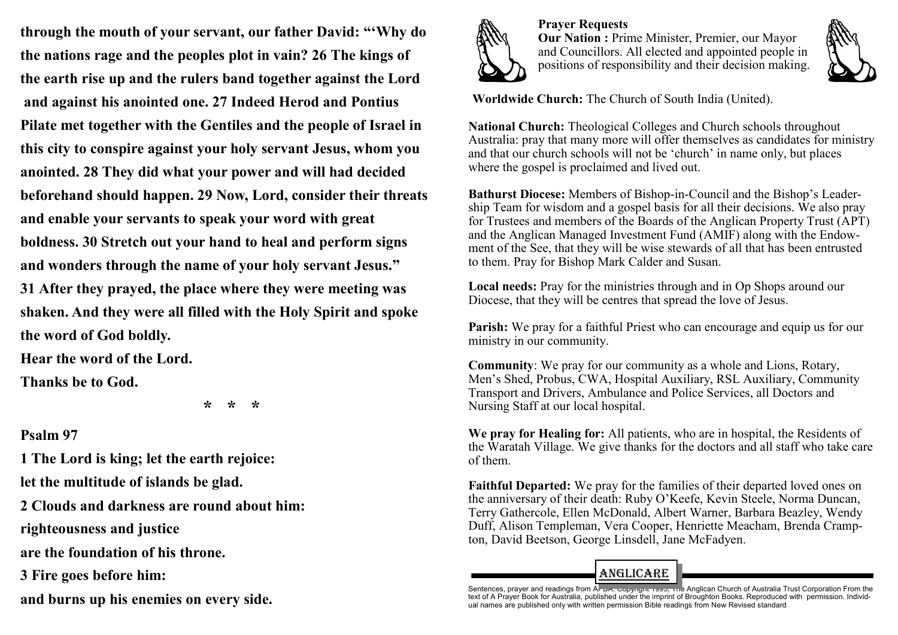**through the mouth of your servant, our father David: "'Why do the nations rage and the peoples plot in vain? 26 The kings of the earth rise up and the rulers band together against the Lord and against his anointed one. 27 Indeed Herod and Pontius Pilate met together with the Gentiles and the people of Israel in this city to conspire against your holy servant Jesus, whom you anointed. 28 They did what your power and will had decided beforehand should happen. 29 Now, Lord, consider their threats and enable your servants to speak your word with great boldness. 30 Stretch out your hand to heal and perform signs and wonders through the name of your holy servant Jesus." 31 After they prayed, the place where they were meeting was shaken. And they were all filled with the Holy Spirit and spoke the word of God boldly.**

**Hear the word of the Lord.**

**Thanks be to God.**

 **\* \* \***

# **Psalm 97**

**1 The Lord is king; let the earth rejoice: let the multitude of islands be glad.**

**2 Clouds and darkness are round about him: righteousness and justice**

**are the foundation of his throne.**

**3 Fire goes before him:**

**and burns up his enemies on every side.**



**Prayer Requests Our Nation :** Prime Minister, Premier, our Mayor and Councillors. All elected and appointed people in positions of responsibility and their decision making.



**Worldwide Church:** The Church of South India (United).

**National Church:** Theological Colleges and Church schools throughout Australia: pray that many more will offer themselves as candidates for ministry and that our church schools will not be 'church' in name only, but places where the gospel is proclaimed and lived out.

**Bathurst Diocese:** Members of Bishop-in-Council and the Bishop's Leadership Team for wisdom and a gospel basis for all their decisions. We also pray for Trustees and members of the Boards of the Anglican Property Trust (APT) and the Anglican Managed Investment Fund (AMIF) along with the Endowment of the See, that they will be wise stewards of all that has been entrusted to them. Pray for Bishop Mark Calder and Susan.

**Local needs:** Pray for the ministries through and in Op Shops around our Diocese, that they will be centres that spread the love of Jesus.

**Parish:** We pray for a faithful Priest who can encourage and equip us for our ministry in our community.

**Community**: We pray for our community as a whole and Lions, Rotary, Men's Shed, Probus, CWA, Hospital Auxiliary, RSL Auxiliary, Community Transport and Drivers, Ambulance and Police Services, all Doctors and Nursing Staff at our local hospital.

**We pray for Healing for:** All patients, who are in hospital, the Residents of the Waratah Village. We give thanks for the doctors and all staff who take care of them.

**Faithful Departed:** We pray for the families of their departed loved ones on the anniversary of their death: Ruby O'Keefe, Kevin Steele, Norma Duncan, Terry Gathercole, Ellen McDonald, Albert Warner, Barbara Beazley, Wendy Duff, Alison Templeman, Vera Cooper, Henriette Meacham, Brenda Crampton, David Beetson, George Linsdell, Jane McFadyen.

# ANGLiCARE

Sentences, prayer and readings from A<del>l-DA. Copyngin 1990, The</del> Anglican Church of Australia Trust Corporation From the<br>text of A Prayer Book for Australia, published under the imprint of Broughton Books. Reproduced with ual names are published only with written permission Bible readings from New Revised standard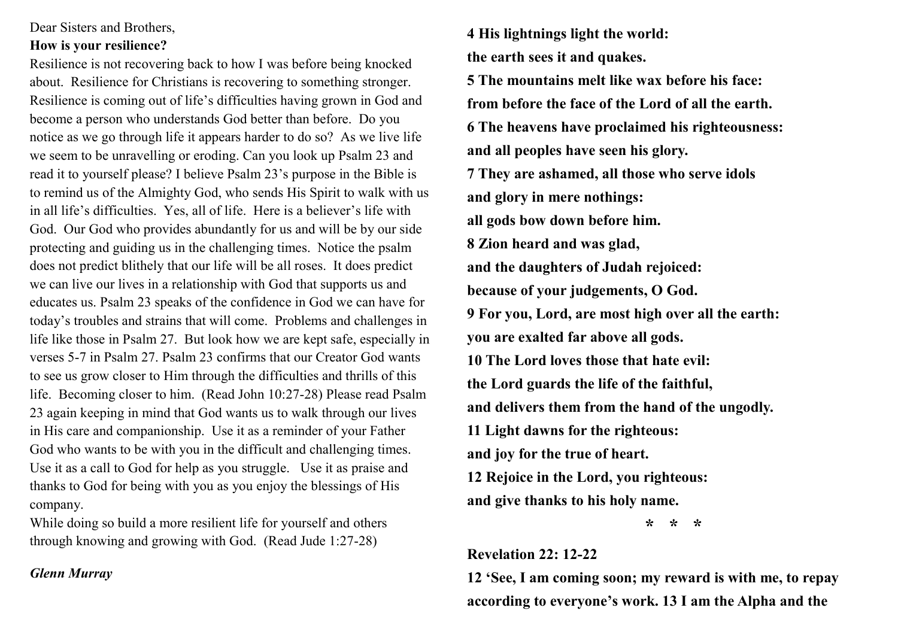### Dear Sisters and Brothers,

### **How is your resilience?**

Resilience is not recovering back to how I was before being knocked about. Resilience for Christians is recovering to something stronger. Resilience is coming out of life's difficulties having grown in God and become a person who understands God better than before. Do you notice as we go through life it appears harder to do so? As we live life we seem to be unravelling or eroding. Can you look up Psalm 23 and read it to yourself please? I believe Psalm 23's purpose in the Bible is to remind us of the Almighty God, who sends His Spirit to walk with us in all life's difficulties. Yes, all of life. Here is a believer's life with God. Our God who provides abundantly for us and will be by our side protecting and guiding us in the challenging times. Notice the psalm does not predict blithely that our life will be all roses. It does predict we can live our lives in a relationship with God that supports us and educates us. Psalm 23 speaks of the confidence in God we can have for today's troubles and strains that will come. Problems and challenges in life like those in Psalm 27. But look how we are kept safe, especially in verses 5-7 in Psalm 27. Psalm 23 confirms that our Creator God wants to see us grow closer to Him through the difficulties and thrills of this life. Becoming closer to him. (Read John 10:27-28) Please read Psalm 23 again keeping in mind that God wants us to walk through our lives in His care and companionship. Use it as a reminder of your Father God who wants to be with you in the difficult and challenging times. Use it as a call to God for help as you struggle. Use it as praise and thanks to God for being with you as you enjoy the blessings of His company.

While doing so build a more resilient life for yourself and others through knowing and growing with God. (Read Jude 1:27-28)

## *Glenn Murray*

**4 His lightnings light the world: the earth sees it and quakes. 5 The mountains melt like wax before his face: from before the face of the Lord of all the earth. 6 The heavens have proclaimed his righteousness: and all peoples have seen his glory. 7 They are ashamed, all those who serve idols and glory in mere nothings: all gods bow down before him. 8 Zion heard and was glad, and the daughters of Judah rejoiced: because of your judgements, O God. 9 For you, Lord, are most high over all the earth: you are exalted far above all gods. 10 The Lord loves those that hate evil: the Lord guards the life of the faithful, and delivers them from the hand of the ungodly. 11 Light dawns for the righteous: and joy for the true of heart. 12 Rejoice in the Lord, you righteous: and give thanks to his holy name.**

 **\* \* \***

## **Revelation 22: 12-22**

**12 'See, I am coming soon; my reward is with me, to repay according to everyone's work. 13 I am the Alpha and the**